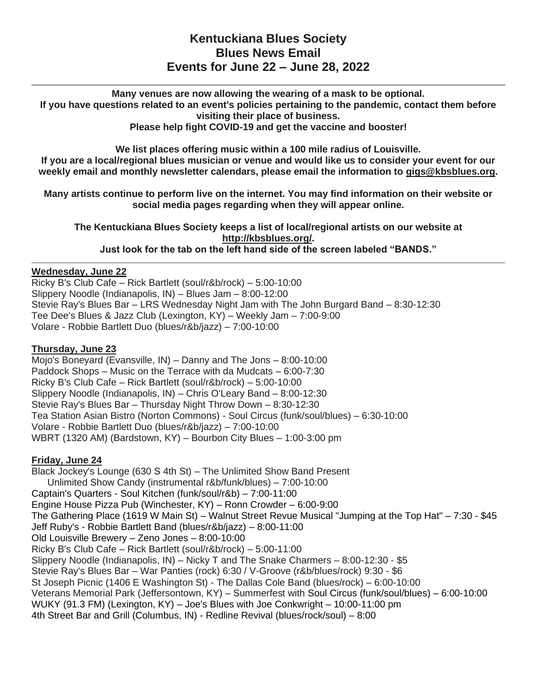**Many venues are now allowing the wearing of a mask to be optional. If you have questions related to an event's policies pertaining to the pandemic, contact them before visiting their place of business.**

**Please help fight COVID-19 and get the vaccine and booster!**

**We list places offering music within a 100 mile radius of Louisville. If you are a local/regional blues musician or venue and would like us to consider your event for our weekly email and monthly newsletter calendars, please email the information to [gigs@kbsblues.org.](mailto:gigs@kbsblues.org)**

**Many artists continue to perform live on the internet. You may find information on their website or social media pages regarding when they will appear online.**

**The Kentuckiana Blues Society keeps a list of local/regional artists on our website at [http://kbsblues.org/.](http://kbsblues.org/) Just look for the tab on the left hand side of the screen labeled "BANDS."**

### **Wednesday, June 22**

Ricky B's Club Cafe – Rick Bartlett (soul/r&b/rock) – 5:00-10:00 Slippery Noodle (Indianapolis, IN) – Blues Jam – 8:00-12:00 Stevie Ray's Blues Bar – LRS Wednesday Night Jam with The John Burgard Band – 8:30-12:30 Tee Dee's Blues & Jazz Club (Lexington, KY) – Weekly Jam – 7:00-9:00 Volare - Robbie Bartlett Duo (blues/r&b/jazz) – 7:00-10:00

## **Thursday, June 23**

Mojo's Boneyard (Evansville, IN) – Danny and The Jons – 8:00-10:00 Paddock Shops – Music on the Terrace with da Mudcats – 6:00-7:30 Ricky B's Club Cafe – Rick Bartlett (soul/r&b/rock) – 5:00-10:00 Slippery Noodle (Indianapolis, IN) – Chris O'Leary Band – 8:00-12:30 Stevie Ray's Blues Bar – Thursday Night Throw Down – 8:30-12:30 Tea Station Asian Bistro (Norton Commons) - Soul Circus (funk/soul/blues) – 6:30-10:00 Volare - Robbie Bartlett Duo (blues/r&b/jazz) – 7:00-10:00 WBRT (1320 AM) (Bardstown, KY) – Bourbon City Blues – 1:00-3:00 pm

## **Friday, June 24**

Black Jockey's Lounge (630 S 4th St) – The Unlimited Show Band Present Unlimited Show Candy (instrumental r&b/funk/blues) – 7:00-10:00 Captain's Quarters - Soul Kitchen (funk/soul/r&b) – 7:00-11:00 Engine House Pizza Pub (Winchester, KY) – Ronn Crowder – 6:00-9:00 The Gathering Place (1619 W Main St) – Walnut Street Revue Musical "Jumping at the Top Hat" – 7:30 - \$45 Jeff Ruby's - Robbie Bartlett Band (blues/r&b/jazz) – 8:00-11:00 Old Louisville Brewery – Zeno Jones – 8:00-10:00 Ricky B's Club Cafe – Rick Bartlett (soul/r&b/rock) – 5:00-11:00 Slippery Noodle (Indianapolis, IN) – Nicky T and The Snake Charmers – 8:00-12:30 - \$5 Stevie Ray's Blues Bar – War Panties (rock) 6:30 / V-Groove (r&b/blues/rock) 9:30 - \$6 St Joseph Picnic (1406 E Washington St) - The Dallas Cole Band (blues/rock) – 6:00-10:00 Veterans Memorial Park (Jeffersontown, KY) – Summerfest with Soul Circus (funk/soul/blues) – 6:00-10:00 WUKY (91.3 FM) (Lexington, KY) – Joe's Blues with Joe Conkwright – 10:00-11:00 pm 4th Street Bar and Grill (Columbus, IN) - Redline Revival (blues/rock/soul) – 8:00